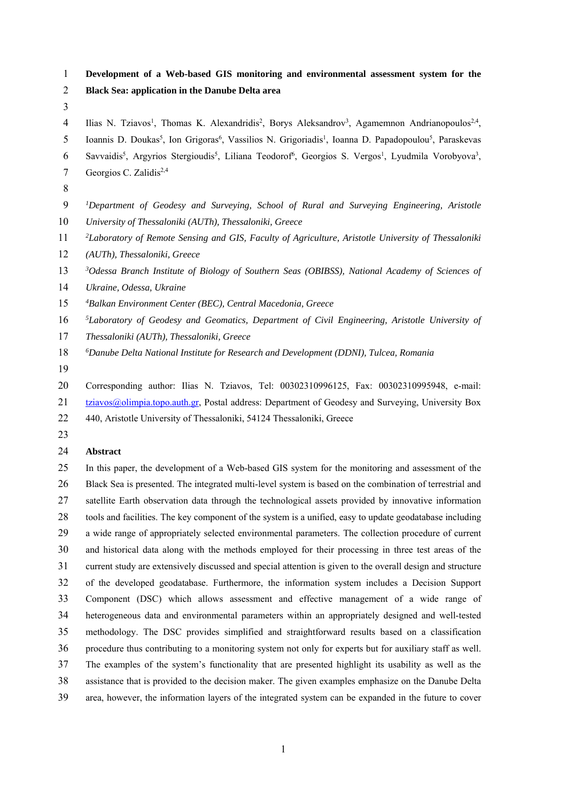1 **Development of a Web-based GIS monitoring and environmental assessment system for the** 

- 2 **Black Sea: application in the Danube Delta area**
- 3
- 4 Ilias N. Tziavos<sup>1</sup>, Thomas K. Alexandridis<sup>2</sup>, Borys Aleksandrov<sup>3</sup>, Agamemnon Andrianopoulos<sup>2,4</sup>, 5 Ioannis D. Doukas<sup>5</sup>, Ion Grigoras<sup>6</sup>, Vassilios N. Grigoriadis<sup>1</sup>, Ioanna D. Papadopoulou<sup>5</sup>, Paraskevas 6 Savvaidis<sup>5</sup>, Argyrios Stergioudis<sup>5</sup>, Liliana Teodorof<sup>6</sup>, Georgios S. Vergos<sup>1</sup>, Lyudmila Vorobyova<sup>3</sup>, 7 Georgios C. Zalidis<sup>2,4</sup>
- 8
- 9 *<sup>1</sup> Department of Geodesy and Surveying, School of Rural and Surveying Engineering, Aristotle*
- 10 *University of Thessaloniki (AUTh), Thessaloniki, Greece*
- *<sup>2</sup>* 11 *Laboratory of Remote Sensing and GIS, Faculty of Agriculture, Aristotle University of Thessaloniki*
- 12 *(AUTh), Thessaloniki, Greece*
- 13 *<sup>3</sup> Odessa Branch Institute of Biology of Southern Seas (OBIBSS), National Academy of Sciences of*
- 14 *Ukraine, Odessa, Ukraine*
- *<sup>4</sup>* 15 *Balkan Environment Center (BEC), Central Macedonia, Greece*
- *<sup>5</sup>* 16 *Laboratory of Geodesy and Geomatics, Department of Civil Engineering, Aristotle University of*
- 17 *Thessaloniki (AUTh), Thessaloniki, Greece*
- 18 *<sup>6</sup> Danube Delta National Institute for Research and Development (DDNI), Tulcea, Romania*
- 19

20 Corresponding author: Ilias N. Tziavos, Tel: 00302310996125, Fax: 00302310995948, e-mail:

- 21 tziavos@olimpia.topo.auth.gr, Postal address: Department of Geodesy and Surveying, University Box
- 22 440, Aristotle University of Thessaloniki, 54124 Thessaloniki, Greece
- 23

# 24 **Abstract**

25 In this paper, the development of a Web-based GIS system for the monitoring and assessment of the 26 Black Sea is presented. The integrated multi-level system is based on the combination of terrestrial and 27 satellite Earth observation data through the technological assets provided by innovative information 28 tools and facilities. The key component of the system is a unified, easy to update geodatabase including 29 a wide range of appropriately selected environmental parameters. The collection procedure of current 30 and historical data along with the methods employed for their processing in three test areas of the 31 current study are extensively discussed and special attention is given to the overall design and structure 32 of the developed geodatabase. Furthermore, the information system includes a Decision Support 33 Component (DSC) which allows assessment and effective management of a wide range of 34 heterogeneous data and environmental parameters within an appropriately designed and well-tested 35 methodology. The DSC provides simplified and straightforward results based on a classification 36 procedure thus contributing to a monitoring system not only for experts but for auxiliary staff as well. 37 The examples of the system's functionality that are presented highlight its usability as well as the 38 assistance that is provided to the decision maker. The given examples emphasize on the Danube Delta 39 area, however, the information layers of the integrated system can be expanded in the future to cover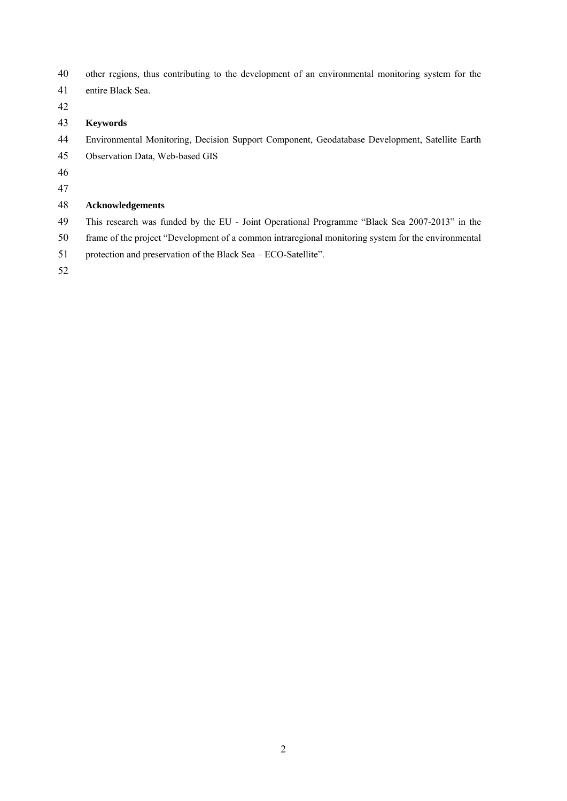40 other regions, thus contributing to the development of an environmental monitoring system for the

- 41 entire Black Sea. 42 43 **Keywords** 44 Environmental Monitoring, Decision Support Component, Geodatabase Development, Satellite Earth 45 Observation Data, Web-based GIS 46 47 48 **Acknowledgements**
- 49 This research was funded by the EU Joint Operational Programme "Black Sea 2007-2013" in the
- 50 frame of the project "Development of a common intraregional monitoring system for the environmental
- 51 protection and preservation of the Black Sea ECO-Satellite".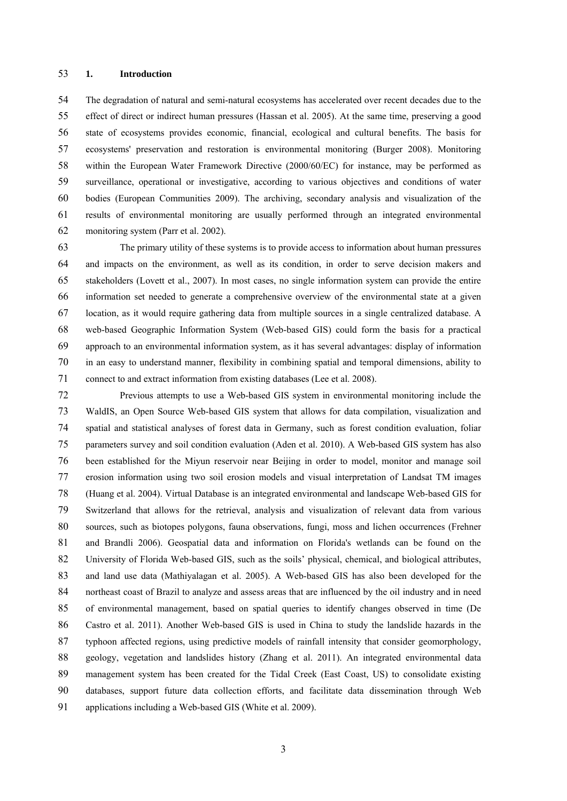## 53 **1. Introduction**

54 The degradation of natural and semi-natural ecosystems has accelerated over recent decades due to the 55 effect of direct or indirect human pressures (Hassan et al. 2005). At the same time, preserving a good 56 state of ecosystems provides economic, financial, ecological and cultural benefits. The basis for 57 ecosystems' preservation and restoration is environmental monitoring (Burger 2008). Monitoring 58 within the European Water Framework Directive (2000/60/EC) for instance, may be performed as 59 surveillance, operational or investigative, according to various objectives and conditions of water 60 bodies (European Communities 2009). The archiving, secondary analysis and visualization of the 61 results of environmental monitoring are usually performed through an integrated environmental 62 monitoring system (Parr et al. 2002).

63 The primary utility of these systems is to provide access to information about human pressures 64 and impacts on the environment, as well as its condition, in order to serve decision makers and 65 stakeholders (Lovett et al., 2007). In most cases, no single information system can provide the entire 66 information set needed to generate a comprehensive overview of the environmental state at a given 67 location, as it would require gathering data from multiple sources in a single centralized database. A 68 web-based Geographic Information System (Web-based GIS) could form the basis for a practical 69 approach to an environmental information system, as it has several advantages: display of information 70 in an easy to understand manner, flexibility in combining spatial and temporal dimensions, ability to 71 connect to and extract information from existing databases (Lee et al. 2008).

72 Previous attempts to use a Web-based GIS system in environmental monitoring include the 73 WaldIS, an Open Source Web-based GIS system that allows for data compilation, visualization and 74 spatial and statistical analyses of forest data in Germany, such as forest condition evaluation, foliar 75 parameters survey and soil condition evaluation (Aden et al. 2010). A Web-based GIS system has also 76 been established for the Miyun reservoir near Beijing in order to model, monitor and manage soil 77 erosion information using two soil erosion models and visual interpretation of Landsat TM images 78 (Huang et al. 2004). Virtual Database is an integrated environmental and landscape Web-based GIS for 79 Switzerland that allows for the retrieval, analysis and visualization of relevant data from various 80 sources, such as biotopes polygons, fauna observations, fungi, moss and lichen occurrences (Frehner 81 and Brandli 2006). Geospatial data and information on Florida's wetlands can be found on the 82 University of Florida Web-based GIS, such as the soils' physical, chemical, and biological attributes, 83 and land use data (Mathiyalagan et al. 2005). A Web-based GIS has also been developed for the 84 northeast coast of Brazil to analyze and assess areas that are influenced by the oil industry and in need 85 of environmental management, based on spatial queries to identify changes observed in time (De 86 Castro et al. 2011). Another Web-based GIS is used in China to study the landslide hazards in the 87 typhoon affected regions, using predictive models of rainfall intensity that consider geomorphology, 88 geology, vegetation and landslides history (Zhang et al. 2011). An integrated environmental data 89 management system has been created for the Tidal Creek (East Coast, US) to consolidate existing 90 databases, support future data collection efforts, and facilitate data dissemination through Web 91 applications including a Web-based GIS (White et al. 2009).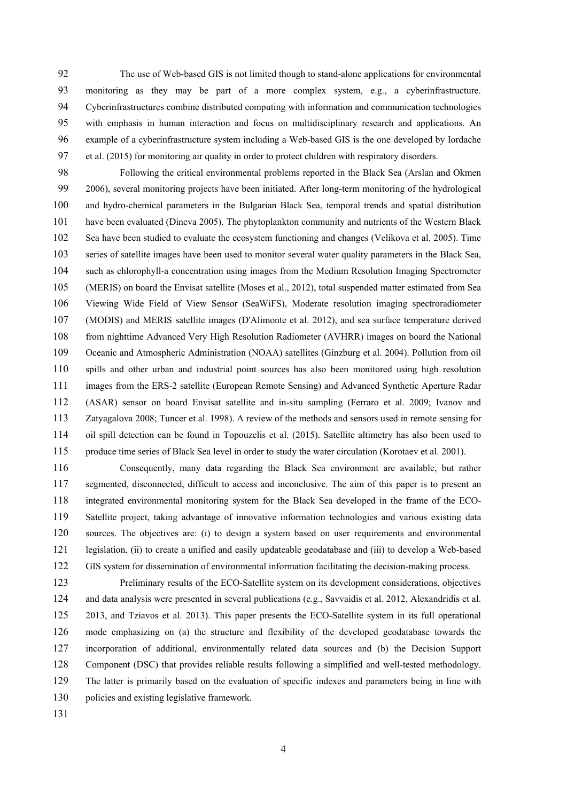92 The use of Web-based GIS is not limited though to stand-alone applications for environmental 93 monitoring as they may be part of a more complex system, e.g., a cyberinfrastructure. 94 Cyberinfrastructures combine distributed computing with information and communication technologies 95 with emphasis in human interaction and focus on multidisciplinary research and applications. An 96 example of a cyberinfrastructure system including a Web-based GIS is the one developed by Iordache 97 et al. (2015) for monitoring air quality in order to protect children with respiratory disorders.

98 Following the critical environmental problems reported in the Black Sea (Arslan and Okmen 99 2006), several monitoring projects have been initiated. After long-term monitoring of the hydrological 100 and hydro-chemical parameters in the Bulgarian Black Sea, temporal trends and spatial distribution 101 have been evaluated (Dineva 2005). The phytoplankton community and nutrients of the Western Black 102 Sea have been studied to evaluate the ecosystem functioning and changes (Velikova et al. 2005). Time 103 series of satellite images have been used to monitor several water quality parameters in the Black Sea, 104 such as chlorophyll-a concentration using images from the Medium Resolution Imaging Spectrometer 105 (MERIS) on board the Envisat satellite (Moses et al., 2012), total suspended matter estimated from Sea 106 Viewing Wide Field of View Sensor (SeaWiFS), Moderate resolution imaging spectroradiometer 107 (MODIS) and MERIS satellite images (D'Alimonte et al. 2012), and sea surface temperature derived 108 from nighttime Advanced Very High Resolution Radiometer (AVHRR) images on board the National 109 Oceanic and Atmospheric Administration (NOAA) satellites (Ginzburg et al. 2004). Pollution from oil 110 spills and other urban and industrial point sources has also been monitored using high resolution 111 images from the ERS-2 satellite (European Remote Sensing) and Advanced Synthetic Aperture Radar 112 (ASAR) sensor on board Envisat satellite and in-situ sampling (Ferraro et al. 2009; Ivanov and 113 Zatyagalova 2008; Tuncer et al. 1998). A review of the methods and sensors used in remote sensing for 114 oil spill detection can be found in Topouzelis et al. (2015). Satellite altimetry has also been used to 115 produce time series of Black Sea level in order to study the water circulation (Korotaev et al. 2001).

116 Consequently, many data regarding the Black Sea environment are available, but rather 117 segmented, disconnected, difficult to access and inconclusive. The aim of this paper is to present an 118 integrated environmental monitoring system for the Black Sea developed in the frame of the ECO-119 Satellite project, taking advantage of innovative information technologies and various existing data 120 sources. The objectives are: (i) to design a system based on user requirements and environmental 121 legislation, (ii) to create a unified and easily updateable geodatabase and (iii) to develop a Web-based 122 GIS system for dissemination of environmental information facilitating the decision-making process.

123 Preliminary results of the ECO-Satellite system on its development considerations, objectives 124 and data analysis were presented in several publications (e.g., Savvaidis et al. 2012, Alexandridis et al. 125 2013, and Tziavos et al. 2013). This paper presents the ECO-Satellite system in its full operational 126 mode emphasizing on (a) the structure and flexibility of the developed geodatabase towards the 127 incorporation of additional, environmentally related data sources and (b) the Decision Support 128 Component (DSC) that provides reliable results following a simplified and well-tested methodology. 129 The latter is primarily based on the evaluation of specific indexes and parameters being in line with 130 policies and existing legislative framework.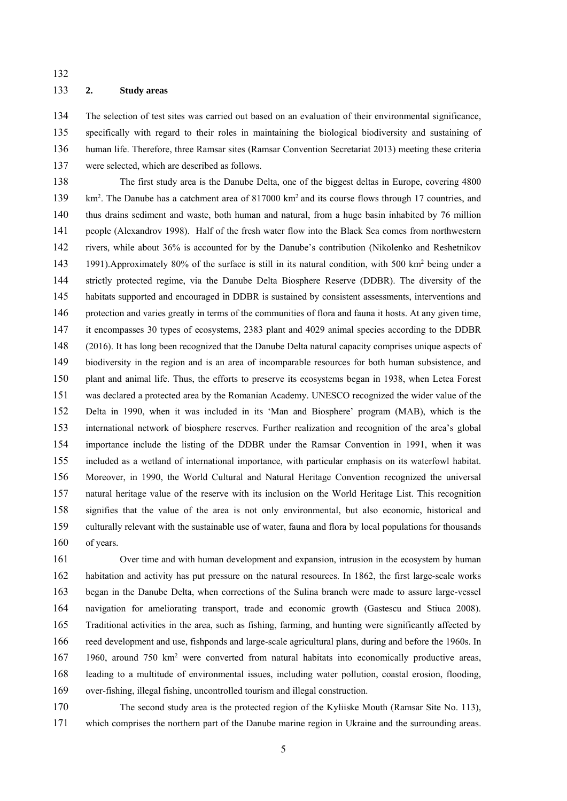132

## 133 **2. Study areas**

134 The selection of test sites was carried out based on an evaluation of their environmental significance, 135 specifically with regard to their roles in maintaining the biological biodiversity and sustaining of 136 human life. Therefore, three Ramsar sites (Ramsar Convention Secretariat 2013) meeting these criteria 137 were selected, which are described as follows.

138 The first study area is the Danube Delta, one of the biggest deltas in Europe, covering 4800 139 km<sup>2</sup>. The Danube has a catchment area of 817000 km<sup>2</sup> and its course flows through 17 countries, and 140 thus drains sediment and waste, both human and natural, from a huge basin inhabited by 76 million 141 people (Alexandrov 1998). Half of the fresh water flow into the Black Sea comes from northwestern 142 rivers, while about 36% is accounted for by the Danube's contribution (Nikolenko and Reshetnikov 143 1991).Approximately 80% of the surface is still in its natural condition, with 500 km<sup>2</sup> being under a 144 strictly protected regime, via the Danube Delta Biosphere Reserve (DDBR). The diversity of the 145 habitats supported and encouraged in DDBR is sustained by consistent assessments, interventions and 146 protection and varies greatly in terms of the communities of flora and fauna it hosts. At any given time, 147 it encompasses 30 types of ecosystems, 2383 plant and 4029 animal species according to the DDBR 148 (2016). It has long been recognized that the Danube Delta natural capacity comprises unique aspects of 149 biodiversity in the region and is an area of incomparable resources for both human subsistence, and 150 plant and animal life. Thus, the efforts to preserve its ecosystems began in 1938, when Letea Forest 151 was declared a protected area by the Romanian Academy. UNESCO recognized the wider value of the 152 Delta in 1990, when it was included in its 'Man and Biosphere' program (MAB), which is the 153 international network of biosphere reserves. Further realization and recognition of the area's global 154 importance include the listing of the DDBR under the Ramsar Convention in 1991, when it was 155 included as a wetland of international importance, with particular emphasis on its waterfowl habitat. 156 Moreover, in 1990, the World Cultural and Natural Heritage Convention recognized the universal 157 natural heritage value of the reserve with its inclusion on the World Heritage List. This recognition 158 signifies that the value of the area is not only environmental, but also economic, historical and 159 culturally relevant with the sustainable use of water, fauna and flora by local populations for thousands 160 of years.

161 Over time and with human development and expansion, intrusion in the ecosystem by human 162 habitation and activity has put pressure on the natural resources. In 1862, the first large-scale works 163 began in the Danube Delta, when corrections of the Sulina branch were made to assure large-vessel 164 navigation for ameliorating transport, trade and economic growth (Gastescu and Stiuca 2008). 165 Traditional activities in the area, such as fishing, farming, and hunting were significantly affected by 166 reed development and use, fishponds and large-scale agricultural plans, during and before the 1960s. In 167 1960, around 750 km<sup>2</sup> were converted from natural habitats into economically productive areas, 168 leading to a multitude of environmental issues, including water pollution, coastal erosion, flooding, 169 over-fishing, illegal fishing, uncontrolled tourism and illegal construction.

170 The second study area is the protected region of the Kyliiske Mouth (Ramsar Site No. 113), 171 which comprises the northern part of the Danube marine region in Ukraine and the surrounding areas.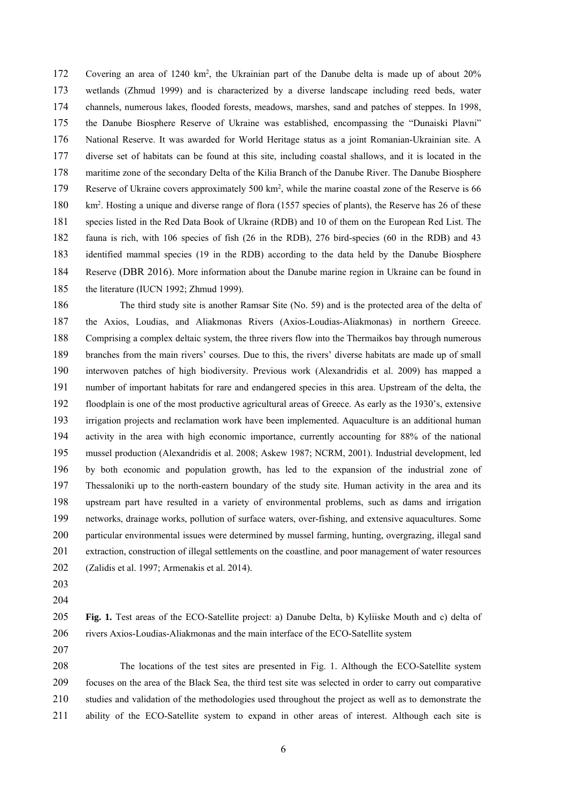172 Covering an area of 1240 km<sup>2</sup>, the Ukrainian part of the Danube delta is made up of about 20% 173 wetlands (Zhmud 1999) and is characterized by a diverse landscape including reed beds, water 174 channels, numerous lakes, flooded forests, meadows, marshes, sand and patches of steppes. In 1998, 175 the Danube Biosphere Reserve of Ukraine was established, encompassing the "Dunaiski Plavni" 176 National Reserve. It was awarded for World Heritage status as a joint Romanian-Ukrainian site. A 177 diverse set of habitats can be found at this site, including coastal shallows, and it is located in the 178 maritime zone of the secondary Delta of the Kilia Branch of the Danube River. The Danube Biosphere 179 Reserve of Ukraine covers approximately 500 km<sup>2</sup>, while the marine coastal zone of the Reserve is 66 180 km<sup>2</sup>. Hosting a unique and diverse range of flora (1557 species of plants), the Reserve has 26 of these 181 species listed in the Red Data Book of Ukraine (RDB) and 10 of them on the European Red List. The 182 fauna is rich, with 106 species of fish (26 in the RDB), 276 bird-species (60 in the RDB) and 43 183 identified mammal species (19 in the RDB) according to the data held by the Danube Biosphere 184 Reserve (DBR 2016). More information about the Danube marine region in Ukraine can be found in 185 the literature (IUCN 1992; Zhmud 1999).

186 The third study site is another Ramsar Site (No. 59) and is the protected area of the delta of 187 the Axios, Loudias, and Aliakmonas Rivers (Axios-Loudias-Aliakmonas) in northern Greece. 188 Comprising a complex deltaic system, the three rivers flow into the Thermaikos bay through numerous 189 branches from the main rivers' courses. Due to this, the rivers' diverse habitats are made up of small 190 interwoven patches of high biodiversity. Previous work (Alexandridis et al. 2009) has mapped a 191 number of important habitats for rare and endangered species in this area. Upstream of the delta, the 192 floodplain is one of the most productive agricultural areas of Greece. As early as the 1930's, extensive 193 irrigation projects and reclamation work have been implemented. Aquaculture is an additional human 194 activity in the area with high economic importance, currently accounting for 88% of the national 195 mussel production (Alexandridis et al. 2008; Askew 1987; NCRM, 2001). Industrial development, led 196 by both economic and population growth, has led to the expansion of the industrial zone of 197 Thessaloniki up to the north-eastern boundary of the study site. Human activity in the area and its 198 upstream part have resulted in a variety of environmental problems, such as dams and irrigation 199 networks, drainage works, pollution of surface waters, over-fishing, and extensive aquacultures. Some 200 particular environmental issues were determined by mussel farming, hunting, overgrazing, illegal sand 201 extraction, construction of illegal settlements on the coastline, and poor management of water resources 202 (Zalidis et al. 1997; Armenakis et al. 2014).

- 203
- 204

205 **Fig. 1.** Test areas of the ECO-Satellite project: a) Danube Delta, b) Kyliiske Mouth and c) delta of 206 rivers Axios-Loudias-Aliakmonas and the main interface of the ECO-Satellite system

207

208 The locations of the test sites are presented in Fig. 1. Although the ECO-Satellite system 209 focuses on the area of the Black Sea, the third test site was selected in order to carry out comparative 210 studies and validation of the methodologies used throughout the project as well as to demonstrate the 211 ability of the ECO-Satellite system to expand in other areas of interest. Although each site is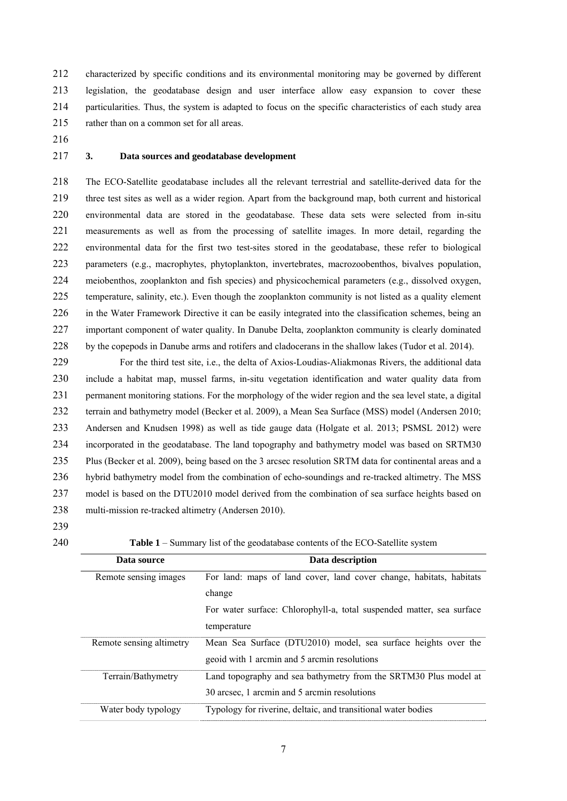212 characterized by specific conditions and its environmental monitoring may be governed by different 213 legislation, the geodatabase design and user interface allow easy expansion to cover these 214 particularities. Thus, the system is adapted to focus on the specific characteristics of each study area 215 rather than on a common set for all areas.

216

# 217 **3. Data sources and geodatabase development**

218 The ECO-Satellite geodatabase includes all the relevant terrestrial and satellite-derived data for the 219 three test sites as well as a wider region. Apart from the background map, both current and historical 220 environmental data are stored in the geodatabase. These data sets were selected from in-situ 221 measurements as well as from the processing of satellite images. In more detail, regarding the 222 environmental data for the first two test-sites stored in the geodatabase, these refer to biological 223 parameters (e.g., macrophytes, phytoplankton, invertebrates, macrozoobenthos, bivalves population, 224 meiobenthos, zooplankton and fish species) and physicochemical parameters (e.g., dissolved oxygen, 225 temperature, salinity, etc.). Even though the zooplankton community is not listed as a quality element 226 in the Water Framework Directive it can be easily integrated into the classification schemes, being an 227 important component of water quality. In Danube Delta, zooplankton community is clearly dominated 228 by the copepods in Danube arms and rotifers and cladocerans in the shallow lakes (Tudor et al. 2014).

229 For the third test site, i.e., the delta of Axios-Loudias-Aliakmonas Rivers, the additional data 230 include a habitat map, mussel farms, in-situ vegetation identification and water quality data from 231 permanent monitoring stations. For the morphology of the wider region and the sea level state, a digital 232 terrain and bathymetry model (Becker et al. 2009), a Mean Sea Surface (MSS) model (Andersen 2010; 233 Andersen and Knudsen 1998) as well as tide gauge data (Holgate et al. 2013; PSMSL 2012) were 234 incorporated in the geodatabase. The land topography and bathymetry model was based on SRTM30 235 Plus (Becker et al. 2009), being based on the 3 arcsec resolution SRTM data for continental areas and a 236 hybrid bathymetry model from the combination of echo-soundings and re-tracked altimetry. The MSS 237 model is based on the DTU2010 model derived from the combination of sea surface heights based on 238 multi-mission re-tracked altimetry (Andersen 2010).

240 **Table 1** – Summary list of the geodatabase contents of the ECO-Satellite system

| Data source              | Data description                                                      |
|--------------------------|-----------------------------------------------------------------------|
| Remote sensing images    | For land: maps of land cover, land cover change, habitats, habitats   |
|                          | change                                                                |
|                          | For water surface: Chlorophyll-a, total suspended matter, sea surface |
|                          | temperature                                                           |
| Remote sensing altimetry | Mean Sea Surface (DTU2010) model, sea surface heights over the        |
|                          | geoid with 1 arcmin and 5 arcmin resolutions                          |
| Terrain/Bathymetry       | Land topography and sea bathymetry from the SRTM30 Plus model at      |
|                          | 30 arcsec, 1 arcmin and 5 arcmin resolutions                          |
| Water body typology      | Typology for riverine, deltaic, and transitional water bodies         |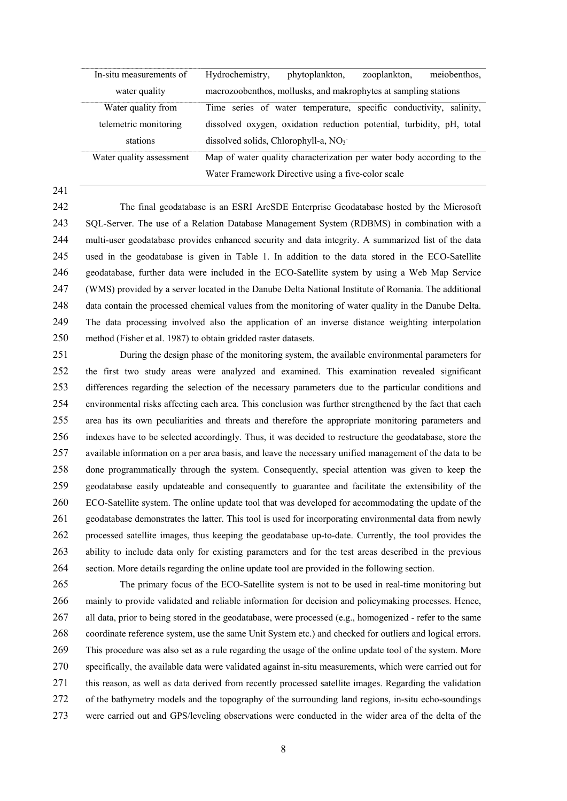| In-situ measurements of  | Hydrochemistry,                                                       | phytoplankton,                                                        | zooplankton, | meiobenthos, |
|--------------------------|-----------------------------------------------------------------------|-----------------------------------------------------------------------|--------------|--------------|
| water quality            | macrozoobenthos, mollusks, and makrophytes at sampling stations       |                                                                       |              |              |
| Water quality from       |                                                                       | Time series of water temperature, specific conductivity, salinity,    |              |              |
| telemetric monitoring    |                                                                       | dissolved oxygen, oxidation reduction potential, turbidity, pH, total |              |              |
| stations                 |                                                                       | dissolved solids, Chlorophyll-a, $NO3$                                |              |              |
| Water quality assessment | Map of water quality characterization per water body according to the |                                                                       |              |              |
|                          |                                                                       | Water Framework Directive using a five-color scale                    |              |              |

241

242 The final geodatabase is an ESRI ArcSDE Enterprise Geodatabase hosted by the Microsoft 243 SQL-Server. The use of a Relation Database Management System (RDBMS) in combination with a 244 multi-user geodatabase provides enhanced security and data integrity. A summarized list of the data 245 used in the geodatabase is given in Table 1. In addition to the data stored in the ECO-Satellite 246 geodatabase, further data were included in the ECO-Satellite system by using a Web Map Service 247 (WMS) provided by a server located in the Danube Delta National Institute of Romania. The additional 248 data contain the processed chemical values from the monitoring of water quality in the Danube Delta. 249 The data processing involved also the application of an inverse distance weighting interpolation 250 method (Fisher et al. 1987) to obtain gridded raster datasets.

251 During the design phase of the monitoring system, the available environmental parameters for 252 the first two study areas were analyzed and examined. This examination revealed significant 253 differences regarding the selection of the necessary parameters due to the particular conditions and 254 environmental risks affecting each area. This conclusion was further strengthened by the fact that each 255 area has its own peculiarities and threats and therefore the appropriate monitoring parameters and 256 indexes have to be selected accordingly. Thus, it was decided to restructure the geodatabase, store the 257 available information on a per area basis, and leave the necessary unified management of the data to be 258 done programmatically through the system. Consequently, special attention was given to keep the 259 geodatabase easily updateable and consequently to guarantee and facilitate the extensibility of the 260 ECO-Satellite system. The online update tool that was developed for accommodating the update of the 261 geodatabase demonstrates the latter. This tool is used for incorporating environmental data from newly 262 processed satellite images, thus keeping the geodatabase up-to-date. Currently, the tool provides the 263 ability to include data only for existing parameters and for the test areas described in the previous 264 section. More details regarding the online update tool are provided in the following section.

265 The primary focus of the ECO-Satellite system is not to be used in real-time monitoring but 266 mainly to provide validated and reliable information for decision and policymaking processes. Hence, 267 all data, prior to being stored in the geodatabase, were processed (e.g., homogenized - refer to the same 268 coordinate reference system, use the same Unit System etc.) and checked for outliers and logical errors. 269 This procedure was also set as a rule regarding the usage of the online update tool of the system. More 270 specifically, the available data were validated against in-situ measurements, which were carried out for 271 this reason, as well as data derived from recently processed satellite images. Regarding the validation 272 of the bathymetry models and the topography of the surrounding land regions, in-situ echo-soundings 273 were carried out and GPS/leveling observations were conducted in the wider area of the delta of the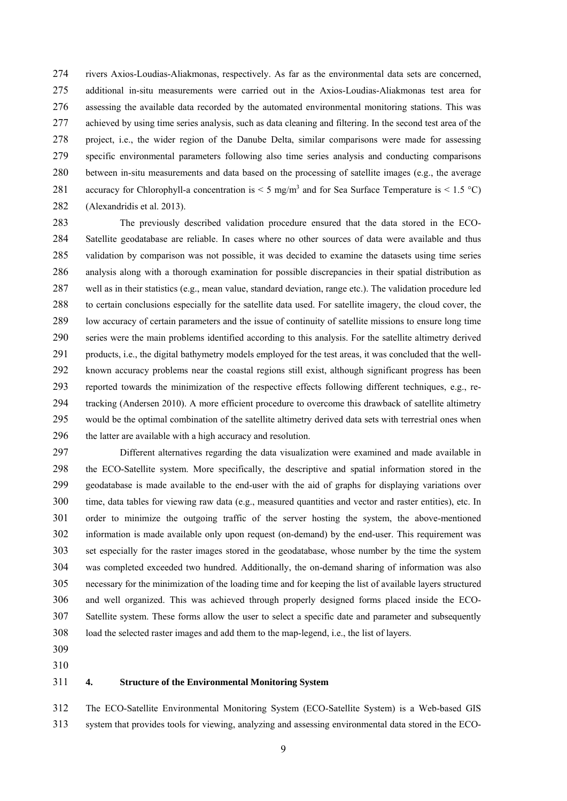274 rivers Axios-Loudias-Aliakmonas, respectively. As far as the environmental data sets are concerned, 275 additional in-situ measurements were carried out in the Axios-Loudias-Aliakmonas test area for 276 assessing the available data recorded by the automated environmental monitoring stations. This was 277 achieved by using time series analysis, such as data cleaning and filtering. In the second test area of the 278 project, i.e., the wider region of the Danube Delta, similar comparisons were made for assessing 279 specific environmental parameters following also time series analysis and conducting comparisons 280 between in-situ measurements and data based on the processing of satellite images (e.g., the average 281 accuracy for Chlorophyll-a concentration is  $\leq$  5 mg/m<sup>3</sup> and for Sea Surface Temperature is  $\leq$  1.5 °C) 282 (Alexandridis et al. 2013).

283 The previously described validation procedure ensured that the data stored in the ECO-284 Satellite geodatabase are reliable. In cases where no other sources of data were available and thus 285 validation by comparison was not possible, it was decided to examine the datasets using time series 286 analysis along with a thorough examination for possible discrepancies in their spatial distribution as 287 well as in their statistics (e.g., mean value, standard deviation, range etc.). The validation procedure led 288 to certain conclusions especially for the satellite data used. For satellite imagery, the cloud cover, the 289 low accuracy of certain parameters and the issue of continuity of satellite missions to ensure long time 290 series were the main problems identified according to this analysis. For the satellite altimetry derived 291 products, i.e., the digital bathymetry models employed for the test areas, it was concluded that the well-292 known accuracy problems near the coastal regions still exist, although significant progress has been 293 reported towards the minimization of the respective effects following different techniques, e.g., re-294 tracking (Andersen 2010). A more efficient procedure to overcome this drawback of satellite altimetry 295 would be the optimal combination of the satellite altimetry derived data sets with terrestrial ones when 296 the latter are available with a high accuracy and resolution.

297 Different alternatives regarding the data visualization were examined and made available in 298 the ECO-Satellite system. More specifically, the descriptive and spatial information stored in the 299 geodatabase is made available to the end-user with the aid of graphs for displaying variations over 300 time, data tables for viewing raw data (e.g., measured quantities and vector and raster entities), etc. In 301 order to minimize the outgoing traffic of the server hosting the system, the above-mentioned 302 information is made available only upon request (on-demand) by the end-user. This requirement was 303 set especially for the raster images stored in the geodatabase, whose number by the time the system 304 was completed exceeded two hundred. Additionally, the on-demand sharing of information was also 305 necessary for the minimization of the loading time and for keeping the list of available layers structured 306 and well organized. This was achieved through properly designed forms placed inside the ECO-307 Satellite system. These forms allow the user to select a specific date and parameter and subsequently 308 load the selected raster images and add them to the map-legend, i.e., the list of layers.

- 309
- 310

### 311 **4. Structure of the Environmental Monitoring System**

312 The ECO-Satellite Environmental Monitoring System (ECO-Satellite System) is a Web-based GIS 313 system that provides tools for viewing, analyzing and assessing environmental data stored in the ECO-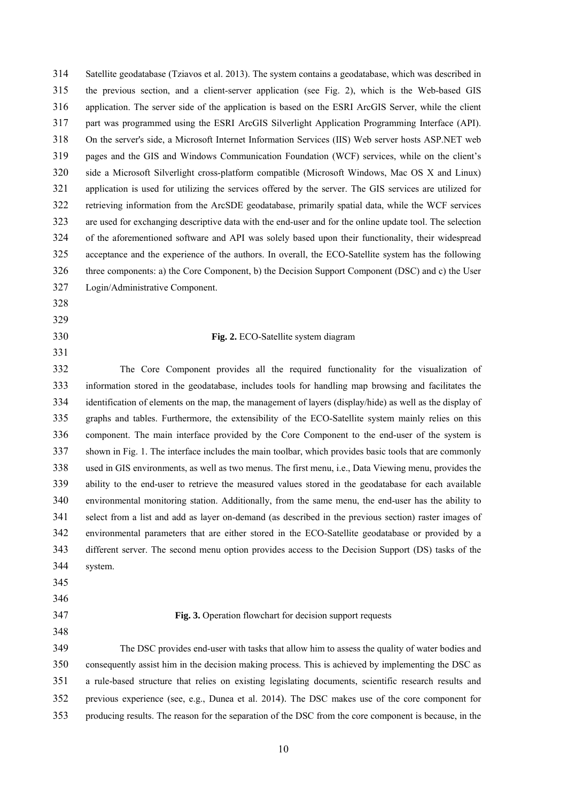314 Satellite geodatabase (Tziavos et al. 2013). The system contains a geodatabase, which was described in 315 the previous section, and a client-server application (see Fig. 2), which is the Web-based GIS 316 application. The server side of the application is based on the ESRI ArcGIS Server, while the client 317 part was programmed using the ESRI ArcGIS Silverlight Application Programming Interface (API). 318 On the server's side, a Microsoft Internet Information Services (IIS) Web server hosts ASP.NET web 319 pages and the GIS and Windows Communication Foundation (WCF) services, while on the client's 320 side a Microsoft Silverlight cross-platform compatible (Microsoft Windows, Mac OS X and Linux) 321 application is used for utilizing the services offered by the server. The GIS services are utilized for 322 retrieving information from the ArcSDE geodatabase, primarily spatial data, while the WCF services 323 are used for exchanging descriptive data with the end-user and for the online update tool. The selection 324 of the aforementioned software and API was solely based upon their functionality, their widespread 325 acceptance and the experience of the authors. In overall, the ECO-Satellite system has the following 326 three components: a) the Core Component, b) the Decision Support Component (DSC) and c) the User 327 Login/Administrative Component. 328

330 **Fig. 2.** ECO-Satellite system diagram

332 The Core Component provides all the required functionality for the visualization of 333 information stored in the geodatabase, includes tools for handling map browsing and facilitates the 334 identification of elements on the map, the management of layers (display/hide) as well as the display of 335 graphs and tables. Furthermore, the extensibility of the ECO-Satellite system mainly relies on this 336 component. The main interface provided by the Core Component to the end-user of the system is 337 shown in Fig. 1. The interface includes the main toolbar, which provides basic tools that are commonly 338 used in GIS environments, as well as two menus. The first menu, i.e., Data Viewing menu, provides the 339 ability to the end-user to retrieve the measured values stored in the geodatabase for each available 340 environmental monitoring station. Additionally, from the same menu, the end-user has the ability to 341 select from a list and add as layer on-demand (as described in the previous section) raster images of 342 environmental parameters that are either stored in the ECO-Satellite geodatabase or provided by a 343 different server. The second menu option provides access to the Decision Support (DS) tasks of the 344 system.

345

329

331

- 346
- 348

#### 347 **Fig. 3.** Operation flowchart for decision support requests

349 The DSC provides end-user with tasks that allow him to assess the quality of water bodies and 350 consequently assist him in the decision making process. This is achieved by implementing the DSC as 351 a rule-based structure that relies on existing legislating documents, scientific research results and 352 previous experience (see, e.g., Dunea et al. 2014). The DSC makes use of the core component for 353 producing results. The reason for the separation of the DSC from the core component is because, in the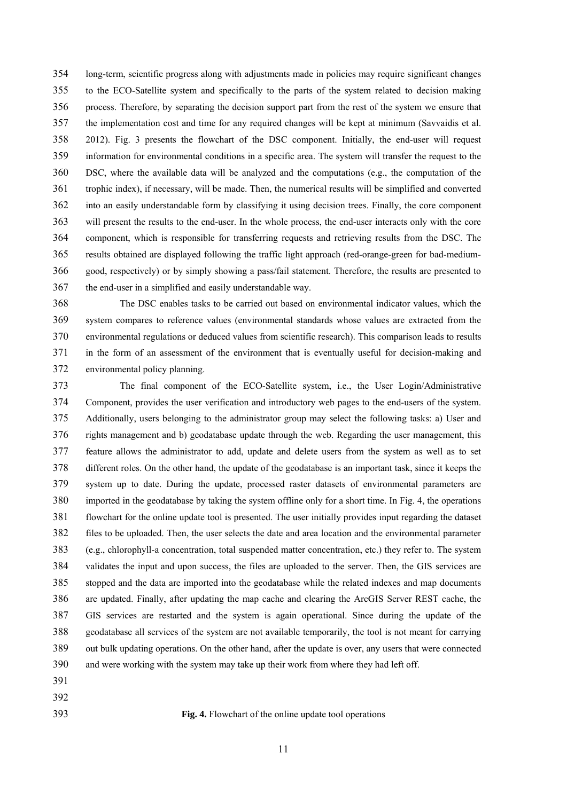354 long-term, scientific progress along with adjustments made in policies may require significant changes 355 to the ECO-Satellite system and specifically to the parts of the system related to decision making 356 process. Therefore, by separating the decision support part from the rest of the system we ensure that 357 the implementation cost and time for any required changes will be kept at minimum (Savvaidis et al. 358 2012). Fig. 3 presents the flowchart of the DSC component. Initially, the end-user will request 359 information for environmental conditions in a specific area. The system will transfer the request to the 360 DSC, where the available data will be analyzed and the computations (e.g., the computation of the 361 trophic index), if necessary, will be made. Then, the numerical results will be simplified and converted 362 into an easily understandable form by classifying it using decision trees. Finally, the core component 363 will present the results to the end-user. In the whole process, the end-user interacts only with the core 364 component, which is responsible for transferring requests and retrieving results from the DSC. The 365 results obtained are displayed following the traffic light approach (red-orange-green for bad-medium-366 good, respectively) or by simply showing a pass/fail statement. Therefore, the results are presented to 367 the end-user in a simplified and easily understandable way.

368 The DSC enables tasks to be carried out based on environmental indicator values, which the 369 system compares to reference values (environmental standards whose values are extracted from the 370 environmental regulations or deduced values from scientific research). This comparison leads to results 371 in the form of an assessment of the environment that is eventually useful for decision-making and 372 environmental policy planning.

373 The final component of the ECO-Satellite system, i.e., the User Login/Administrative 374 Component, provides the user verification and introductory web pages to the end-users of the system. 375 Additionally, users belonging to the administrator group may select the following tasks: a) User and 376 rights management and b) geodatabase update through the web. Regarding the user management, this 377 feature allows the administrator to add, update and delete users from the system as well as to set 378 different roles. On the other hand, the update of the geodatabase is an important task, since it keeps the 379 system up to date. During the update, processed raster datasets of environmental parameters are 380 imported in the geodatabase by taking the system offline only for a short time. In Fig. 4, the operations 381 flowchart for the online update tool is presented. The user initially provides input regarding the dataset 382 files to be uploaded. Then, the user selects the date and area location and the environmental parameter 383 (e.g., chlorophyll-a concentration, total suspended matter concentration, etc.) they refer to. The system 384 validates the input and upon success, the files are uploaded to the server. Then, the GIS services are 385 stopped and the data are imported into the geodatabase while the related indexes and map documents 386 are updated. Finally, after updating the map cache and clearing the ArcGIS Server REST cache, the 387 GIS services are restarted and the system is again operational. Since during the update of the 388 geodatabase all services of the system are not available temporarily, the tool is not meant for carrying 389 out bulk updating operations. On the other hand, after the update is over, any users that were connected 390 and were working with the system may take up their work from where they had left off.

- 391
- 392
- 

393 **Fig. 4.** Flowchart of the online update tool operations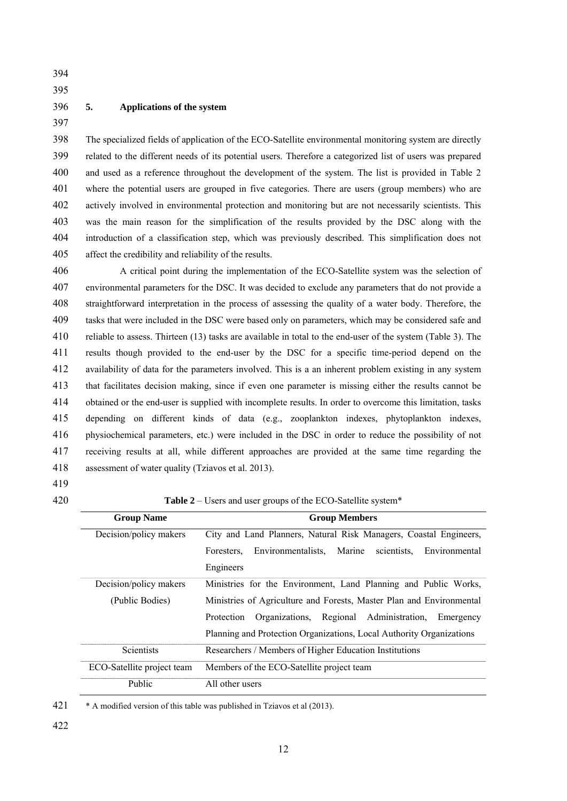394 395

#### 396 **5. Applications of the system**

397

398 The specialized fields of application of the ECO-Satellite environmental monitoring system are directly 399 related to the different needs of its potential users. Therefore a categorized list of users was prepared 400 and used as a reference throughout the development of the system. The list is provided in Table 2 401 where the potential users are grouped in five categories. There are users (group members) who are 402 actively involved in environmental protection and monitoring but are not necessarily scientists. This 403 was the main reason for the simplification of the results provided by the DSC along with the 404 introduction of a classification step, which was previously described. This simplification does not 405 affect the credibility and reliability of the results.

406 A critical point during the implementation of the ECO-Satellite system was the selection of 407 environmental parameters for the DSC. It was decided to exclude any parameters that do not provide a 408 straightforward interpretation in the process of assessing the quality of a water body. Therefore, the 409 tasks that were included in the DSC were based only on parameters, which may be considered safe and 410 reliable to assess. Thirteen (13) tasks are available in total to the end-user of the system (Table 3). The 411 results though provided to the end-user by the DSC for a specific time-period depend on the 412 availability of data for the parameters involved. This is a an inherent problem existing in any system 413 that facilitates decision making, since if even one parameter is missing either the results cannot be 414 obtained or the end-user is supplied with incomplete results. In order to overcome this limitation, tasks 415 depending on different kinds of data (e.g., zooplankton indexes, phytoplankton indexes, 416 physiochemical parameters, etc.) were included in the DSC in order to reduce the possibility of not 417 receiving results at all, while different approaches are provided at the same time regarding the 418 assessment of water quality (Tziavos et al. 2013).

419

420 **Table 2** – Users and user groups of the ECO-Satellite system\*

| <b>Group Name</b>          | <b>Group Members</b>                                                       |  |  |
|----------------------------|----------------------------------------------------------------------------|--|--|
| Decision/policy makers     | City and Land Planners, Natural Risk Managers, Coastal Engineers,          |  |  |
|                            | Environmentalists.<br>Marine<br>scientists.<br>Environmental<br>Foresters. |  |  |
|                            | Engineers                                                                  |  |  |
| Decision/policy makers     | Ministries for the Environment, Land Planning and Public Works,            |  |  |
| (Public Bodies)            | Ministries of Agriculture and Forests, Master Plan and Environmental       |  |  |
|                            | Organizations, Regional Administration,<br>Protection<br>Emergency         |  |  |
|                            | Planning and Protection Organizations, Local Authority Organizations       |  |  |
| <b>Scientists</b>          | Researchers / Members of Higher Education Institutions                     |  |  |
| ECO-Satellite project team | Members of the ECO-Satellite project team                                  |  |  |
| Public                     | All other users                                                            |  |  |

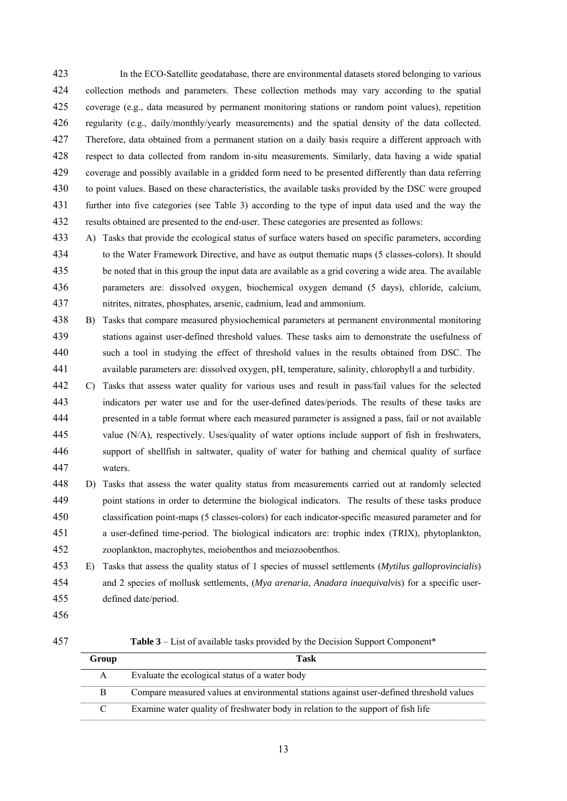423 In the ECO-Satellite geodatabase, there are environmental datasets stored belonging to various 424 collection methods and parameters. These collection methods may vary according to the spatial 425 coverage (e.g., data measured by permanent monitoring stations or random point values), repetition 426 regularity (e.g., daily/monthly/yearly measurements) and the spatial density of the data collected. 427 Therefore, data obtained from a permanent station on a daily basis require a different approach with 428 respect to data collected from random in-situ measurements. Similarly, data having a wide spatial 429 coverage and possibly available in a gridded form need to be presented differently than data referring 430 to point values. Based on these characteristics, the available tasks provided by the DSC were grouped 431 further into five categories (see Table 3) according to the type of input data used and the way the 432 results obtained are presented to the end-user. These categories are presented as follows:

- 433 A) Tasks that provide the ecological status of surface waters based on specific parameters, according 434 to the Water Framework Directive, and have as output thematic maps (5 classes-colors). It should 435 be noted that in this group the input data are available as a grid covering a wide area. The available 436 parameters are: dissolved oxygen, biochemical oxygen demand (5 days), chloride, calcium, 437 nitrites, nitrates, phosphates, arsenic, cadmium, lead and ammonium.
- 438 B) Tasks that compare measured physiochemical parameters at permanent environmental monitoring 439 stations against user-defined threshold values. These tasks aim to demonstrate the usefulness of 440 such a tool in studying the effect of threshold values in the results obtained from DSC. The 441 available parameters are: dissolved oxygen, pH, temperature, salinity, chlorophyll a and turbidity.
- 442 C) Tasks that assess water quality for various uses and result in pass/fail values for the selected 443 indicators per water use and for the user-defined dates/periods. The results of these tasks are 444 presented in a table format where each measured parameter is assigned a pass, fail or not available 445 value (N/A), respectively. Uses/quality of water options include support of fish in freshwaters, 446 support of shellfish in saltwater, quality of water for bathing and chemical quality of surface 447 waters.
- 448 D) Tasks that assess the water quality status from measurements carried out at randomly selected 449 point stations in order to determine the biological indicators. The results of these tasks produce 450 classification point-maps (5 classes-colors) for each indicator-specific measured parameter and for 451 a user-defined time-period. The biological indicators are: trophic index (TRIX), phytoplankton, 452 zooplankton, macrophytes, meiobenthos and meiozoobenthos.
- 453 E) Tasks that assess the quality status of 1 species of mussel settlements (*Mytilus galloprovincialis*) 454 and 2 species of mollusk settlements, (*Mya arenaria*, *Anadara inaequivalvis*) for a specific user-455 defined date/period.
- 456
- 

457 **Table 3** – List of available tasks provided by the Decision Support Component\*

| Group | Task                                                                                    |
|-------|-----------------------------------------------------------------------------------------|
| A     | Evaluate the ecological status of a water body                                          |
| B     | Compare measured values at environmental stations against user-defined threshold values |
|       | Examine water quality of freshwater body in relation to the support of fish life        |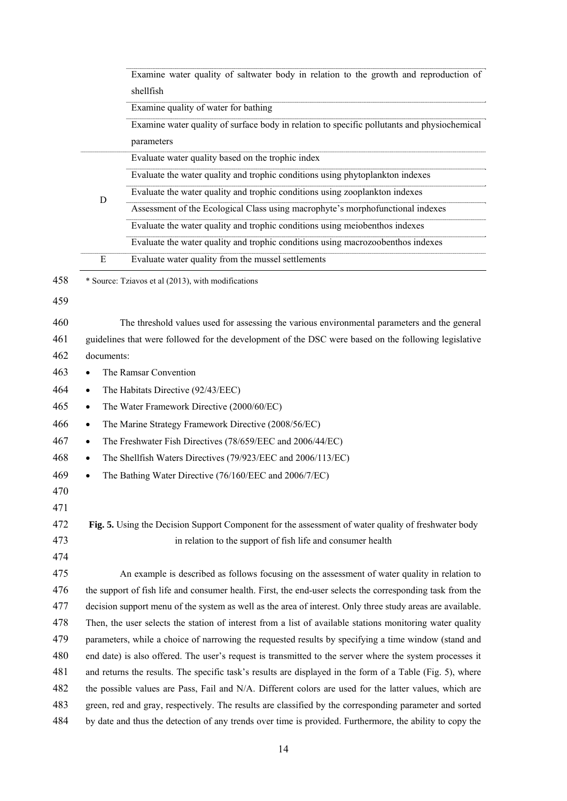|     |                                                                                                            | Examine water quality of saltwater body in relation to the growth and reproduction of                     |  |  |
|-----|------------------------------------------------------------------------------------------------------------|-----------------------------------------------------------------------------------------------------------|--|--|
|     |                                                                                                            | shellfish                                                                                                 |  |  |
|     |                                                                                                            | Examine quality of water for bathing                                                                      |  |  |
|     |                                                                                                            | Examine water quality of surface body in relation to specific pollutants and physiochemical               |  |  |
|     |                                                                                                            | parameters                                                                                                |  |  |
|     |                                                                                                            | Evaluate water quality based on the trophic index                                                         |  |  |
|     |                                                                                                            | Evaluate the water quality and trophic conditions using phytoplankton indexes                             |  |  |
|     |                                                                                                            | Evaluate the water quality and trophic conditions using zooplankton indexes                               |  |  |
|     | D                                                                                                          | Assessment of the Ecological Class using macrophyte's morphofunctional indexes                            |  |  |
|     |                                                                                                            | Evaluate the water quality and trophic conditions using meiobenthos indexes                               |  |  |
|     |                                                                                                            | Evaluate the water quality and trophic conditions using macrozoobenthos indexes                           |  |  |
|     | Е                                                                                                          | Evaluate water quality from the mussel settlements                                                        |  |  |
| 458 |                                                                                                            | * Source: Tziavos et al (2013), with modifications                                                        |  |  |
| 459 |                                                                                                            |                                                                                                           |  |  |
|     |                                                                                                            |                                                                                                           |  |  |
| 460 |                                                                                                            | The threshold values used for assessing the various environmental parameters and the general              |  |  |
| 461 |                                                                                                            | guidelines that were followed for the development of the DSC were based on the following legislative      |  |  |
| 462 | documents:                                                                                                 |                                                                                                           |  |  |
| 463 | $\bullet$                                                                                                  | The Ramsar Convention                                                                                     |  |  |
| 464 | $\bullet$                                                                                                  | The Habitats Directive (92/43/EEC)                                                                        |  |  |
| 465 | $\bullet$                                                                                                  | The Water Framework Directive (2000/60/EC)                                                                |  |  |
| 466 | $\bullet$                                                                                                  | The Marine Strategy Framework Directive (2008/56/EC)                                                      |  |  |
| 467 | $\bullet$                                                                                                  | The Freshwater Fish Directives (78/659/EEC and 2006/44/EC)                                                |  |  |
| 468 | $\bullet$                                                                                                  | The Shellfish Waters Directives (79/923/EEC and 2006/113/EC)                                              |  |  |
| 469 | $\bullet$                                                                                                  | The Bathing Water Directive (76/160/EEC and 2006/7/EC)                                                    |  |  |
| 470 |                                                                                                            |                                                                                                           |  |  |
| 471 |                                                                                                            |                                                                                                           |  |  |
| 472 |                                                                                                            | Fig. 5. Using the Decision Support Component for the assessment of water quality of freshwater body       |  |  |
| 473 |                                                                                                            | in relation to the support of fish life and consumer health                                               |  |  |
| 474 |                                                                                                            |                                                                                                           |  |  |
| 475 |                                                                                                            | An example is described as follows focusing on the assessment of water quality in relation to             |  |  |
| 476 |                                                                                                            | the support of fish life and consumer health. First, the end-user selects the corresponding task from the |  |  |
| 477 | decision support menu of the system as well as the area of interest. Only three study areas are available. |                                                                                                           |  |  |
| 478 |                                                                                                            | Then, the user selects the station of interest from a list of available stations monitoring water quality |  |  |
| 479 |                                                                                                            | parameters, while a choice of narrowing the requested results by specifying a time window (stand and      |  |  |
| 480 |                                                                                                            | end date) is also offered. The user's request is transmitted to the server where the system processes it  |  |  |
| 481 |                                                                                                            | and returns the results. The specific task's results are displayed in the form of a Table (Fig. 5), where |  |  |
| 482 |                                                                                                            | the possible values are Pass, Fail and N/A. Different colors are used for the latter values, which are    |  |  |
| 483 |                                                                                                            | green, red and gray, respectively. The results are classified by the corresponding parameter and sorted   |  |  |
| 484 |                                                                                                            | by date and thus the detection of any trends over time is provided. Furthermore, the ability to copy the  |  |  |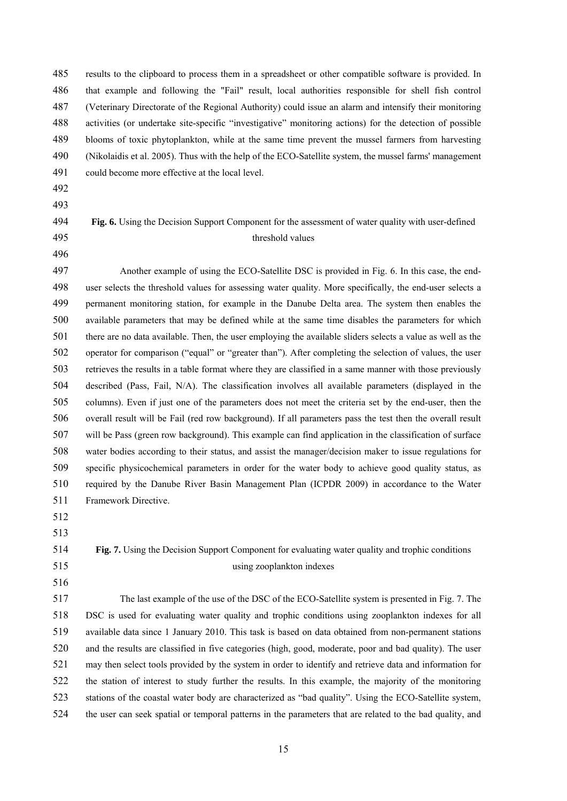485 results to the clipboard to process them in a spreadsheet or other compatible software is provided. In 486 that example and following the "Fail" result, local authorities responsible for shell fish control 487 (Veterinary Directorate of the Regional Authority) could issue an alarm and intensify their monitoring 488 activities (or undertake site-specific "investigative" monitoring actions) for the detection of possible 489 blooms of toxic phytoplankton, while at the same time prevent the mussel farmers from harvesting 490 (Nikolaidis et al. 2005). Thus with the help of the ECO-Satellite system, the mussel farms' management 491 could become more effective at the local level. 492 493 494 **Fig. 6.** Using the Decision Support Component for the assessment of water quality with user-defined 495 threshold values 496 497 Another example of using the ECO-Satellite DSC is provided in Fig. 6. In this case, the end-498 user selects the threshold values for assessing water quality. More specifically, the end-user selects a 499 permanent monitoring station, for example in the Danube Delta area. The system then enables the 500 available parameters that may be defined while at the same time disables the parameters for which 501 there are no data available. Then, the user employing the available sliders selects a value as well as the 502 operator for comparison ("equal" or "greater than"). After completing the selection of values, the user 503 retrieves the results in a table format where they are classified in a same manner with those previously 504 described (Pass, Fail, N/A). The classification involves all available parameters (displayed in the 505 columns). Even if just one of the parameters does not meet the criteria set by the end-user, then the 506 overall result will be Fail (red row background). If all parameters pass the test then the overall result 507 will be Pass (green row background). This example can find application in the classification of surface 508 water bodies according to their status, and assist the manager/decision maker to issue regulations for 509 specific physicochemical parameters in order for the water body to achieve good quality status, as 510 required by the Danube River Basin Management Plan (ICPDR 2009) in accordance to the Water 511 Framework Directive. 512 513 514 **Fig. 7.** Using the Decision Support Component for evaluating water quality and trophic conditions 515 using zooplankton indexes 516 517 The last example of the use of the DSC of the ECO-Satellite system is presented in Fig. 7. The 518 DSC is used for evaluating water quality and trophic conditions using zooplankton indexes for all 519 available data since 1 January 2010. This task is based on data obtained from non-permanent stations 520 and the results are classified in five categories (high, good, moderate, poor and bad quality). The user 521 may then select tools provided by the system in order to identify and retrieve data and information for 522 the station of interest to study further the results. In this example, the majority of the monitoring 523 stations of the coastal water body are characterized as "bad quality". Using the ECO-Satellite system, 524 the user can seek spatial or temporal patterns in the parameters that are related to the bad quality, and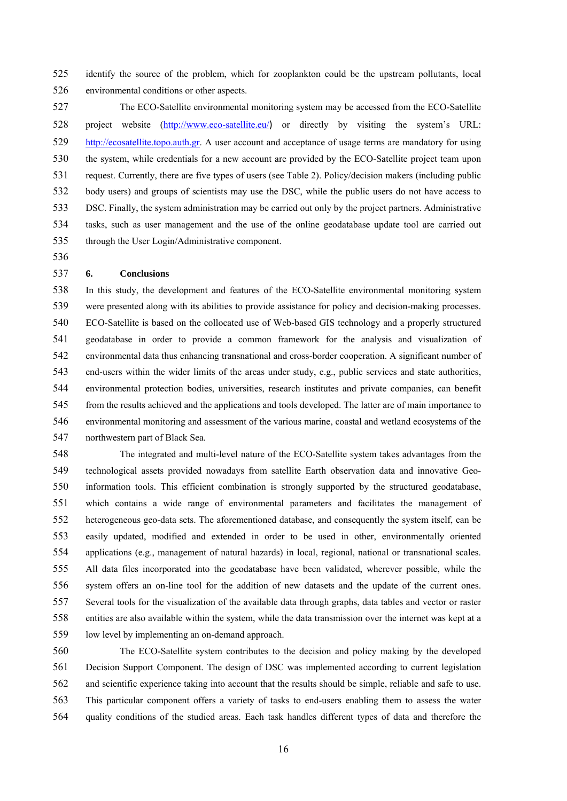525 identify the source of the problem, which for zooplankton could be the upstream pollutants, local 526 environmental conditions or other aspects.

527 The ECO-Satellite environmental monitoring system may be accessed from the ECO-Satellite 528 project website (http://www.eco-satellite.eu/) or directly by visiting the system's URL: 529 http://ecosatellite.topo.auth.gr. A user account and acceptance of usage terms are mandatory for using 530 the system, while credentials for a new account are provided by the ECO-Satellite project team upon 531 request. Currently, there are five types of users (see Table 2). Policy/decision makers (including public 532 body users) and groups of scientists may use the DSC, while the public users do not have access to 533 DSC. Finally, the system administration may be carried out only by the project partners. Administrative 534 tasks, such as user management and the use of the online geodatabase update tool are carried out 535 through the User Login/Administrative component.

536

### 537 **6. Conclusions**

538 In this study, the development and features of the ECO-Satellite environmental monitoring system 539 were presented along with its abilities to provide assistance for policy and decision-making processes. 540 ECO-Satellite is based on the collocated use of Web-based GIS technology and a properly structured 541 geodatabase in order to provide a common framework for the analysis and visualization of 542 environmental data thus enhancing transnational and cross-border cooperation. A significant number of 543 end-users within the wider limits of the areas under study, e.g., public services and state authorities, 544 environmental protection bodies, universities, research institutes and private companies, can benefit 545 from the results achieved and the applications and tools developed. The latter are of main importance to 546 environmental monitoring and assessment of the various marine, coastal and wetland ecosystems of the 547 northwestern part of Black Sea.

548 The integrated and multi-level nature of the ECO-Satellite system takes advantages from the 549 technological assets provided nowadays from satellite Earth observation data and innovative Geo-550 information tools. This efficient combination is strongly supported by the structured geodatabase, 551 which contains a wide range of environmental parameters and facilitates the management of 552 heterogeneous geo-data sets. The aforementioned database, and consequently the system itself, can be 553 easily updated, modified and extended in order to be used in other, environmentally oriented 554 applications (e.g., management of natural hazards) in local, regional, national or transnational scales. 555 All data files incorporated into the geodatabase have been validated, wherever possible, while the 556 system offers an on-line tool for the addition of new datasets and the update of the current ones. 557 Several tools for the visualization of the available data through graphs, data tables and vector or raster 558 entities are also available within the system, while the data transmission over the internet was kept at a 559 low level by implementing an on-demand approach.

560 The ECO-Satellite system contributes to the decision and policy making by the developed 561 Decision Support Component. The design of DSC was implemented according to current legislation 562 and scientific experience taking into account that the results should be simple, reliable and safe to use. 563 This particular component offers a variety of tasks to end-users enabling them to assess the water 564 quality conditions of the studied areas. Each task handles different types of data and therefore the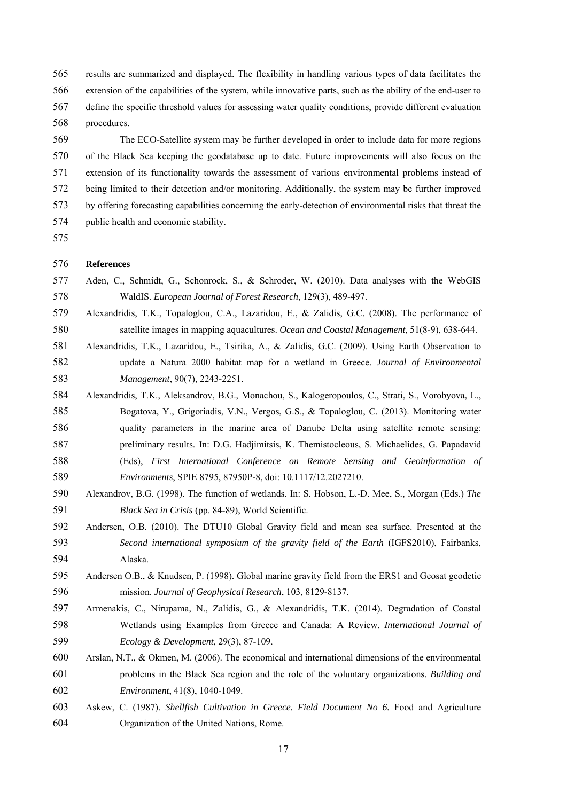565 results are summarized and displayed. The flexibility in handling various types of data facilitates the 566 extension of the capabilities of the system, while innovative parts, such as the ability of the end-user to 567 define the specific threshold values for assessing water quality conditions, provide different evaluation 568 procedures.

569 The ECO-Satellite system may be further developed in order to include data for more regions 570 of the Black Sea keeping the geodatabase up to date. Future improvements will also focus on the 571 extension of its functionality towards the assessment of various environmental problems instead of 572 being limited to their detection and/or monitoring. Additionally, the system may be further improved 573 by offering forecasting capabilities concerning the early-detection of environmental risks that threat the 574 public health and economic stability.

575

## 576 **References**

- 577 Aden, C., Schmidt, G., Schonrock, S., & Schroder, W. (2010). Data analyses with the WebGIS 578 WaldIS. *European Journal of Forest Research*, 129(3), 489-497.
- 579 Alexandridis, T.K., Topaloglou, C.A., Lazaridou, E., & Zalidis, G.C. (2008). The performance of 580 satellite images in mapping aquacultures. *Ocean and Coastal Management*, 51(8-9), 638-644.
- 581 Alexandridis, T.K., Lazaridou, E., Tsirika, A., & Zalidis, G.C. (2009). Using Earth Observation to 582 update a Natura 2000 habitat map for a wetland in Greece. *Journal of Environmental*  583 *Management*, 90(7), 2243-2251.
- 584 Alexandridis, T.K., Aleksandrov, B.G., Monachou, S., Kalogeropoulos, C., Strati, S., Vorobyova, L., 585 Bogatova, Y., Grigoriadis, V.N., Vergos, G.S., & Topaloglou, C. (2013). Monitoring water 586 quality parameters in the marine area of Danube Delta using satellite remote sensing: 587 preliminary results. In: D.G. Hadjimitsis, K. Themistocleous, S. Michaelides, G. Papadavid 588 (Eds), *First International Conference on Remote Sensing and Geoinformation of*  589 *Environments*, SPIE 8795, 87950P-8, doi: 10.1117/12.2027210.
- 590 Alexandrov, B.G. (1998). The function of wetlands. In: S. Hobson, L.-D. Mee, S., Morgan (Eds.) *The*  591 *Black Sea in Crisis* (pp. 84-89), World Scientific.
- 592 Andersen, O.B. (2010). The DTU10 Global Gravity field and mean sea surface. Presented at the 593 *Second international symposium of the gravity field of the Earth* (IGFS2010), Fairbanks, 594 Alaska.
- 595 Andersen O.B., & Knudsen, P. (1998). Global marine gravity field from the ERS1 and Geosat geodetic 596 mission. *Journal of Geophysical Research*, 103, 8129-8137.
- 597 Armenakis, C., Nirupama, N., Zalidis, G., & Alexandridis, T.K. (2014). Degradation of Coastal 598 Wetlands using Examples from Greece and Canada: A Review. *International Journal of*  599 *Ecology & Development*, 29(3), 87-109.
- 600 Arslan, N.T., & Okmen, M. (2006). The economical and international dimensions of the environmental 601 problems in the Black Sea region and the role of the voluntary organizations. *Building and*  602 *Environment*, 41(8), 1040-1049.
- 603 Askew, C. (1987). *Shellfish Cultivation in Greece. Field Document No 6.* Food and Agriculture 604 Organization of the United Nations, Rome.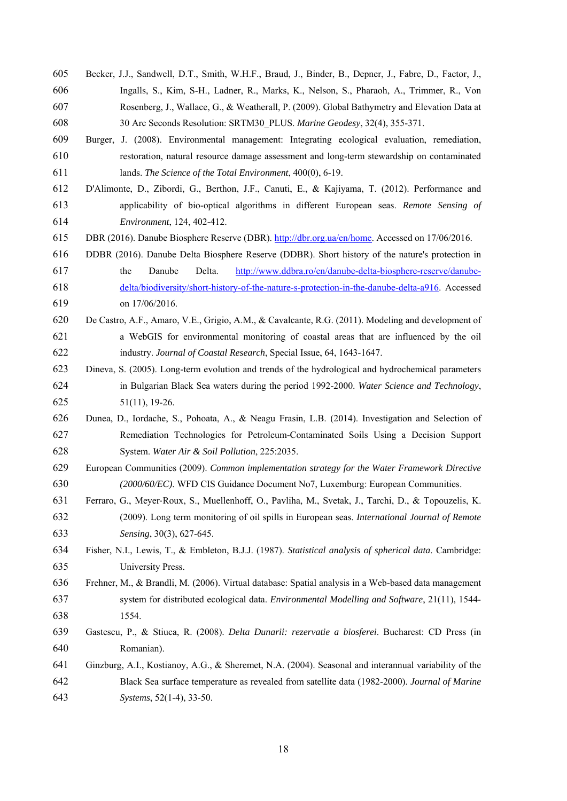- 605 Becker, J.J., Sandwell, D.T., Smith, W.H.F., Braud, J., Binder, B., Depner, J., Fabre, D., Factor, J., 606 Ingalls, S., Kim, S-H., Ladner, R., Marks, K., Nelson, S., Pharaoh, A., Trimmer, R., Von 607 Rosenberg, J., Wallace, G., & Weatherall, P. (2009). Global Bathymetry and Elevation Data at 608 30 Arc Seconds Resolution: SRTM30\_PLUS. *Marine Geodesy*, 32(4), 355-371.
- 609 Burger, J. (2008). Environmental management: Integrating ecological evaluation, remediation, 610 restoration, natural resource damage assessment and long-term stewardship on contaminated 611 lands. *The Science of the Total Environment*, 400(0), 6-19.
- 612 D'Alimonte, D., Zibordi, G., Berthon, J.F., Canuti, E., & Kajiyama, T. (2012). Performance and 613 applicability of bio-optical algorithms in different European seas. *Remote Sensing of*  614 *Environment*, 124, 402-412.
- 615 DBR (2016). Danube Biosphere Reserve (DBR). http://dbr.org.ua/en/home. Accessed on 17/06/2016.
- 616 DDBR (2016). Danube Delta Biosphere Reserve (DDBR). Short history of the nature's protection in 617 the Danube Delta. http://www.ddbra.ro/en/danube-delta-biosphere-reserve/danube-618 delta/biodiversity/short-history-of-the-nature-s-protection-in-the-danube-delta-a916. Accessed 619 on 17/06/2016.
- 620 De Castro, A.F., Amaro, V.E., Grigio, A.M., & Cavalcante, R.G. (2011). Modeling and development of 621 a WebGIS for environmental monitoring of coastal areas that are influenced by the oil 622 industry. *Journal of Coastal Research*, Special Issue, 64, 1643-1647.
- 623 Dineva, S. (2005). Long-term evolution and trends of the hydrological and hydrochemical parameters 624 in Bulgarian Black Sea waters during the period 1992-2000. *Water Science and Technology*, 625 51(11), 19-26.
- 626 Dunea, D., Iordache, S., Pohoata, A., & Neagu Frasin, L.B. (2014). Investigation and Selection of 627 Remediation Technologies for Petroleum-Contaminated Soils Using a Decision Support 628 System. *Water Air & Soil Pollution*, 225:2035.
- 629 European Communities (2009). *Common implementation strategy for the Water Framework Directive*  630 *(2000/60/EC)*. WFD CIS Guidance Document No7, Luxemburg: European Communities.
- 631 Ferraro, G., Meyer‐Roux, S., Muellenhoff, O., Pavliha, M., Svetak, J., Tarchi, D., & Topouzelis, K. 632 (2009). Long term monitoring of oil spills in European seas. *International Journal of Remote*  633 *Sensing*, 30(3), 627-645.
- 634 Fisher, N.I., Lewis, T., & Embleton, B.J.J. (1987). *Statistical analysis of spherical data*. Cambridge: 635 University Press.
- 636 Frehner, M., & Brandli, M. (2006). Virtual database: Spatial analysis in a Web-based data management 637 system for distributed ecological data. *Environmental Modelling and Software*, 21(11), 1544- 638 1554.
- 639 Gastescu, P., & Stiuca, R. (2008). *Delta Dunarii: rezervatie a biosferei*. Bucharest: CD Press (in 640 Romanian).
- 641 Ginzburg, A.I., Kostianoy, A.G., & Sheremet, N.A. (2004). Seasonal and interannual variability of the 642 Black Sea surface temperature as revealed from satellite data (1982-2000). *Journal of Marine*  643 *Systems*, 52(1-4), 33-50.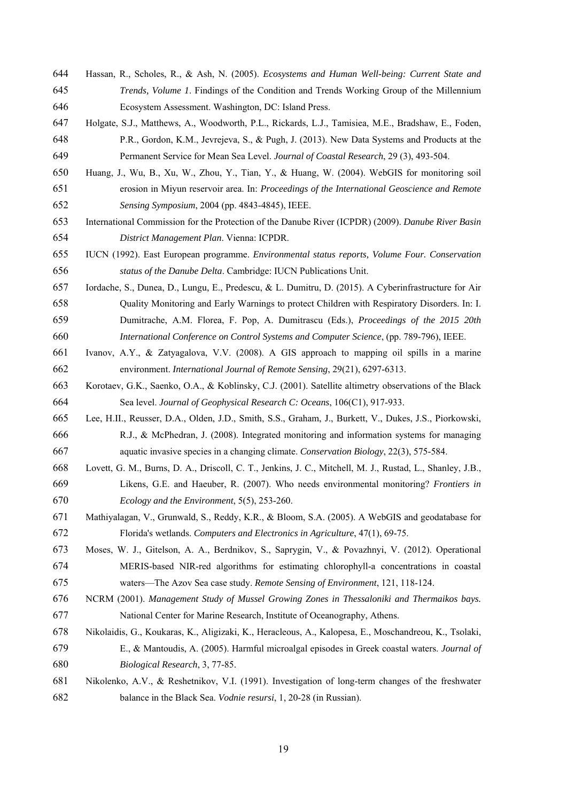- 644 Hassan, R., Scholes, R., & Ash, N. (2005). *Ecosystems and Human Well-being: Current State and*  645 *Trends, Volume 1*. Findings of the Condition and Trends Working Group of the Millennium 646 Ecosystem Assessment. Washington, DC: Island Press.
- 647 Holgate, S.J., Matthews, A., Woodworth, P.L., Rickards, L.J., Tamisiea, M.E., Bradshaw, E., Foden, 648 P.R., Gordon, K.M., Jevrejeva, S., & Pugh, J. (2013). New Data Systems and Products at the 649 Permanent Service for Mean Sea Level. *Journal of Coastal Research*, 29 (3), 493-504.
- 650 Huang, J., Wu, B., Xu, W., Zhou, Y., Tian, Y., & Huang, W. (2004). WebGIS for monitoring soil 651 erosion in Miyun reservoir area. In: *Proceedings of the International Geoscience and Remote*  652 *Sensing Symposium*, 2004 (pp. 4843-4845), IEEE.
- 653 International Commission for the Protection of the Danube River (ICPDR) (2009). *Danube River Basin*  654 *District Management Plan*. Vienna: ICPDR.
- 655 IUCN (1992). East European programme. *Environmental status reports, Volume Four. Conservation*  656 *status of the Danube Delta*. Cambridge: IUCN Publications Unit.
- 657 Iordache, S., Dunea, D., Lungu, E., Predescu, & L. Dumitru, D. (2015). A Cyberinfrastructure for Air 658 Quality Monitoring and Early Warnings to protect Children with Respiratory Disorders. In: I. 659 Dumitrache, A.M. Florea, F. Pop, A. Dumitrascu (Eds.), *Proceedings of the 2015 20th*  660 *International Conference on Control Systems and Computer Science*, (pp. 789-796), IEEE.
- 661 Ivanov, A.Y., & Zatyagalova, V.V. (2008). A GIS approach to mapping oil spills in a marine 662 environment. *International Journal of Remote Sensing*, 29(21), 6297-6313.
- 663 Korotaev, G.K., Saenko, O.A., & Koblinsky, C.J. (2001). Satellite altimetry observations of the Black 664 Sea level. *Journal of Geophysical Research C: Oceans*, 106(C1), 917-933.
- 665 Lee, H.II., Reusser, D.A., Olden, J.D., Smith, S.S., Graham, J., Burkett, V., Dukes, J.S., Piorkowski, 666 R.J., & McPhedran, J. (2008). Integrated monitoring and information systems for managing 667 aquatic invasive species in a changing climate. *Conservation Biology*, 22(3), 575-584.
- 668 Lovett, G. M., Burns, D. A., Driscoll, C. T., Jenkins, J. C., Mitchell, M. J., Rustad, L., Shanley, J.B., 669 Likens, G.E. and Haeuber, R. (2007). Who needs environmental monitoring? *Frontiers in*  670 *Ecology and the Environment*, 5(5), 253-260.
- 671 Mathiyalagan, V., Grunwald, S., Reddy, K.R., & Bloom, S.A. (2005). A WebGIS and geodatabase for 672 Florida's wetlands. *Computers and Electronics in Agriculture*, 47(1), 69-75.
- 673 Moses, W. J., Gitelson, A. A., Berdnikov, S., Saprygin, V., & Povazhnyi, V. (2012). Operational 674 MERIS-based NIR-red algorithms for estimating chlorophyll-a concentrations in coastal 675 waters—The Azov Sea case study. *Remote Sensing of Environment*, 121, 118-124.
- 676 NCRM (2001). *Management Study of Mussel Growing Zones in Thessaloniki and Thermaikos bays.* 677 National Center for Marine Research, Institute of Oceanography, Athens.
- 678 Nikolaidis, G., Koukaras, K., Aligizaki, K., Heracleous, A., Kalopesa, E., Moschandreou, K., Tsolaki, 679 Ε., & Mantoudis, Α. (2005). Harmful microalgal episodes in Greek coastal waters. *Journal of*  680 *Biological Research*, 3, 77-85.
- 681 Nikolenko, A.V., & Reshetnikov, V.I. (1991). Investigation of long-term changes of the freshwater 682 balance in the Black Sea. *Vodnie resursi*, 1, 20-28 (in Russian).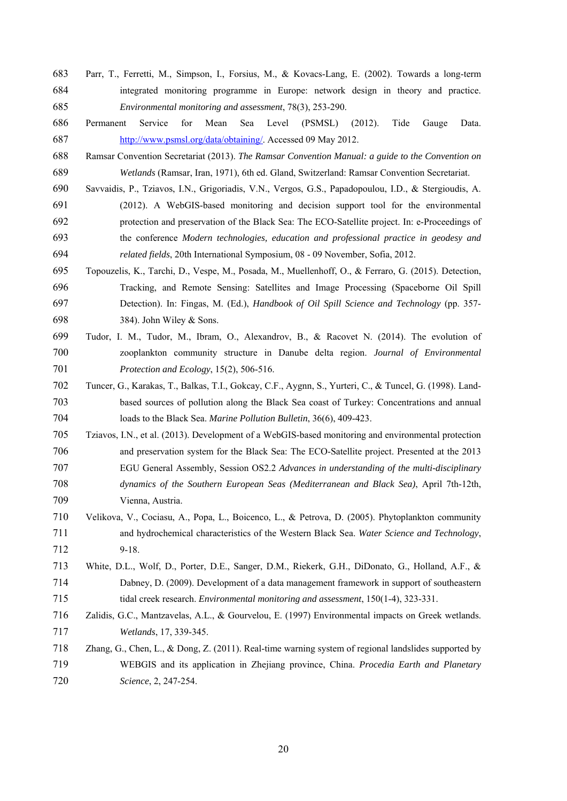- 683 Parr, T., Ferretti, M., Simpson, I., Forsius, M., & Kovacs-Lang, E. (2002). Towards a long-term 684 integrated monitoring programme in Europe: network design in theory and practice. 685 *Environmental monitoring and assessment*, 78(3), 253-290.
- 686 Permanent Service for Mean Sea Level (PSMSL) (2012). Tide Gauge Data. 687 http://www.psmsl.org/data/obtaining/. Accessed 09 May 2012.
- 688 Ramsar Convention Secretariat (2013). *The Ramsar Convention Manual: a guide to the Convention on*  689 *Wetlands* (Ramsar, Iran, 1971), 6th ed. Gland, Switzerland: Ramsar Convention Secretariat.
- 690 Savvaidis, P., Tziavos, I.N., Grigoriadis, V.N., Vergos, G.S., Papadopoulou, I.D., & Stergioudis, A. 691 (2012). A WebGIS-based monitoring and decision support tool for the environmental 692 protection and preservation of the Black Sea: The ECO-Satellite project. In: e-Proceedings of 693 the conference *Modern technologies, education and professional practice in geodesy and*  694 *related fields*, 20th International Symposium, 08 - 09 November, Sofia, 2012.
- 695 Topouzelis, K., Tarchi, D., Vespe, M., Posada, M., Muellenhoff, O., & Ferraro, G. (2015). Detection, 696 Tracking, and Remote Sensing: Satellites and Image Processing (Spaceborne Oil Spill 697 Detection). In: Fingas, M. (Ed.), *Handbook of Oil Spill Science and Technology* (pp. 357- 698 384). John Wiley & Sons.
- 699 Tudor, I. M., Tudor, M., Ibram, O., Alexandrov, B., & Racovet N. (2014). The evolution of 700 zooplankton community structure in Danube delta region. *Journal of Environmental*  701 *Protection and Ecology*, 15(2), 506-516.
- 702 Tuncer, G., Karakas, T., Balkas, T.I., Gokcay, C.F., Aygnn, S., Yurteri, C., & Tuncel, G. (1998). Land-703 based sources of pollution along the Black Sea coast of Turkey: Concentrations and annual 704 loads to the Black Sea. *Marine Pollution Bulletin*, 36(6), 409-423.
- 705 Tziavos, I.N., et al. (2013). Development of a WebGIS-based monitoring and environmental protection 706 and preservation system for the Black Sea: The ECO-Satellite project. Presented at the 2013 707 EGU General Assembly, Session OS2.2 *Advances in understanding of the multi-disciplinary*  708 *dynamics of the Southern European Seas (Mediterranean and Black Sea)*, April 7th-12th, 709 Vienna, Austria.
- 710 Velikova, V., Cociasu, A., Popa, L., Boicenco, L., & Petrova, D. (2005). Phytoplankton community 711 and hydrochemical characteristics of the Western Black Sea. *Water Science and Technology*, 712 9-18.
- 713 White, D.L., Wolf, D., Porter, D.E., Sanger, D.M., Riekerk, G.H., DiDonato, G., Holland, A.F., & 714 Dabney, D. (2009). Development of a data management framework in support of southeastern 715 tidal creek research. *Environmental monitoring and assessment*, 150(1-4), 323-331.
- 716 Zalidis, G.C., Mantzavelas, A.L., & Gourvelou, E. (1997) Environmental impacts on Greek wetlands. 717 *Wetlands*, 17, 339-345.
- 718 Zhang, G., Chen, L., & Dong, Z. (2011). Real-time warning system of regional landslides supported by 719 WEBGIS and its application in Zhejiang province, China. *Procedia Earth and Planetary*  720 *Science*, 2, 247-254.